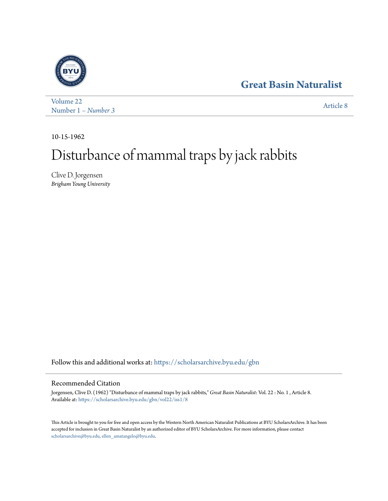## **[Great Basin Naturalist](https://scholarsarchive.byu.edu/gbn?utm_source=scholarsarchive.byu.edu%2Fgbn%2Fvol22%2Fiss1%2F8&utm_medium=PDF&utm_campaign=PDFCoverPages)**



[Volume 22](https://scholarsarchive.byu.edu/gbn/vol22?utm_source=scholarsarchive.byu.edu%2Fgbn%2Fvol22%2Fiss1%2F8&utm_medium=PDF&utm_campaign=PDFCoverPages) Number 1 *[– Number 3](https://scholarsarchive.byu.edu/gbn/vol22/iss1?utm_source=scholarsarchive.byu.edu%2Fgbn%2Fvol22%2Fiss1%2F8&utm_medium=PDF&utm_campaign=PDFCoverPages)* [Article 8](https://scholarsarchive.byu.edu/gbn/vol22/iss1/8?utm_source=scholarsarchive.byu.edu%2Fgbn%2Fvol22%2Fiss1%2F8&utm_medium=PDF&utm_campaign=PDFCoverPages)

10-15-1962

# Disturbance of mammal traps by jack rabbits

Clive D. Jorgensen *Brigham Young University*

Follow this and additional works at: [https://scholarsarchive.byu.edu/gbn](https://scholarsarchive.byu.edu/gbn?utm_source=scholarsarchive.byu.edu%2Fgbn%2Fvol22%2Fiss1%2F8&utm_medium=PDF&utm_campaign=PDFCoverPages)

### Recommended Citation

Jorgensen, Clive D. (1962) "Disturbance of mammal traps by jack rabbits," *Great Basin Naturalist*: Vol. 22 : No. 1 , Article 8. Available at: [https://scholarsarchive.byu.edu/gbn/vol22/iss1/8](https://scholarsarchive.byu.edu/gbn/vol22/iss1/8?utm_source=scholarsarchive.byu.edu%2Fgbn%2Fvol22%2Fiss1%2F8&utm_medium=PDF&utm_campaign=PDFCoverPages)

This Article is brought to you for free and open access by the Western North American Naturalist Publications at BYU ScholarsArchive. It has been accepted for inclusion in Great Basin Naturalist by an authorized editor of BYU ScholarsArchive. For more information, please contact [scholarsarchive@byu.edu, ellen\\_amatangelo@byu.edu.](mailto:scholarsarchive@byu.edu,%20ellen_amatangelo@byu.edu)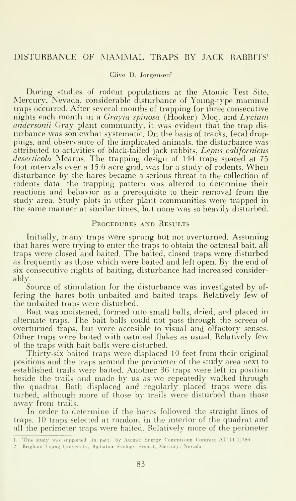#### Clive D. Jorgensen"

During studies of rodent populations at the Atomic Test Site, Mercury, Nevada, considerable disturbance of Young-type mammal traps occurred. After several months of trapping for three consecutive nights each month in a Grayia spinosa ( $\hat{H}$ ooker) Moq. and Lycium andersonii Gray plant community, it was evident that the trap disturbance was somewhat systematic. On the basis of tracks, fecal droppings, and observance of the implicated animals, the disturbance was attributed to activities of black-tailed jack rabbits, Lepus californicus deserticola Mearns. The trapping design of 144 traps spaced at 75 foot intervals over <sup>a</sup> 15.6 acre grid, was for <sup>a</sup> study of rodents. When disturbance by the hares became a serious threat to the collection of rodents data, the trapping pattern was altered to determine their reactions and behavior as a prerequisite to their removal from the study area. Study plots in other plant communities were trapped in the same manner at similar times, but none was so heavily disturbed.

#### PROCEDURES AND RESULTS

Initially, many traps were sprung but not overturned. Assuming that hares were trying to enter the traps to obtain the oatmeal bait, all traps were closed and baited. The baited, closed traps were disturbed as frequently as those which were baited and left open. By the end of six consecutive nights of baiting, disturbance had increased considerably.

Source of stimulation for the disturbance was investigated by of fering the hares both unbaited and baited traps. Relatively few of the unbaited traps were disturbed.

Bait was moistened, formed into small balls, dried, and placed in alternate traps. The bait balls could not pass through the screen of overturned traps, but were accesible to visual and olfactory senses. Other traps were baited with oatmeal flakes as usual. Relatively few of the traps with bait balls were disturbed.

Thirty-six baited traps were displaced 10 feet from their original positions and the traps around the perimeter of the study area next to established trails were baited. Another 36 traps were left in position beside the trails and made by us as we repeatedly walked through the quadrat. Both displaced and regularly placed traps were disturbed, although more of those by trails were disturbed than those away from trails.

In order to determine if the hares followed the straight lines of traps. 10 traps selected at random in the interior of the quadrat and all the perimeter traps were baited. Relatively more of the perimeter

<sup>1.</sup> This study was supported (in part) by Atomic Energy Commission Contract AT 11-1 780.

<sup>2.</sup> Brighani Young I'niversily. Radiation Ecology Project, Mercury. Nevada.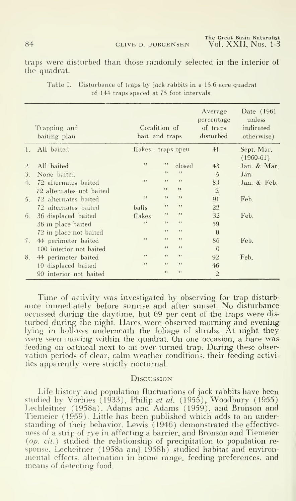84 CLIVE D. JORGENSEN

The Great Basin Naturalist Vol. XXII, Nos. 1-3

traps were disturbed than those randomly selected in the interior of the quadrat.

|                | Trapping and<br>baiting plan | Condition of<br>bait and traps |     |        | Average<br>percentage<br>of traps<br>disturbed<br>41 | Date (1961)<br>unless<br>indicated<br>otherwise)<br>Sept.-Mar.<br>$(1960-61)$ |
|----------------|------------------------------|--------------------------------|-----|--------|------------------------------------------------------|-------------------------------------------------------------------------------|
| 1.             | All baited                   | flakes - traps open            |     |        |                                                      |                                                                               |
| $\frac{1}{2}$  | All baited                   | , ,                            | , , | closed | 43                                                   | Jan. & Mar.                                                                   |
| 3.             | None baited                  |                                | , , | , ,    | $\tilde{5}$                                          | Jan.                                                                          |
| $+$            | 72 alternates baited         | 5.5                            | 53  | 53     | 83                                                   | Jan. & Feb.                                                                   |
|                | 72 alternates not baited     |                                | , , | 52     | $\mathfrak{D}$                                       |                                                                               |
| 5 <sup>1</sup> | 72 alternates baited         | 53                             | , , | 55     | 91                                                   | Feb.                                                                          |
|                | 72 alternates baited         | balls                          | , , | 55     | 22                                                   |                                                                               |
| 6.             | 36 displaced baited          | flakes                         | 5.5 | 7.9    | 32                                                   | Feb.                                                                          |
|                | 36 in place baited           | 53                             | 5.9 | 53     | 59                                                   |                                                                               |
|                | 72 in place not baited       |                                | , , | 22     | $\Omega$                                             |                                                                               |
| 7.             | 44 perimeter baited          | 22                             | , , | 22     | 86                                                   | Feb.                                                                          |
|                | 100 interior not baited      |                                | , , | 22     | $\theta$                                             |                                                                               |
| 8.             | 44 perimeter baited          | , ,                            | , , | , ,    | 92                                                   | Feb.                                                                          |
|                | 10 displaced baited          | 7.7                            | 55  | , ,    | 46                                                   |                                                                               |
|                | 90 interior not baited       |                                | , , | 2.2    | $\overline{2}$                                       |                                                                               |

Table I. Disturbance of traps by jack rabbits in a 15.6 acre quadrat of 144 traps spaced at 75 foot intervals.

Time of activity was investigated by observing for trap disturbance immediately before sunrise and after sunset. No disturbance occussed during the daytime, but 69 per cent of the traps were disturbed during the night. Hares were observed morning and evening lying in hollows underneath the foliage of shrubs. At night they were seen moving within the quadrat. On one occasion, a hare was feeding on oatmeal next to an over-turned trap. During these observation periods of clear, calm weather conditions, their feeding activities apparently were strictly nocturnal.

#### DISCUSSION

Life history and population fluctuations of jack rabbits have been studied by Vorhies  $(1933)$ , Philip et al.  $(1955)$ , Woodbury  $(1955)$ <br>Lechleitner  $(1958a)$ , Adams and Adams  $(1959)$ , and Bronson and Tiemeier (1959). Little has been published which adds to an understanding of their behavior. Lewis (1946) demonstrated the effectiveness of a strip of rye in affecting a barrier, and Bronson and Tiemeier (op. cit.) studied the relationship of precipitation to population response. Lecheitner (1958a and 1958b) studied habitat and environmental effects, alternation in home range, feeding preferences, and means of detecting food.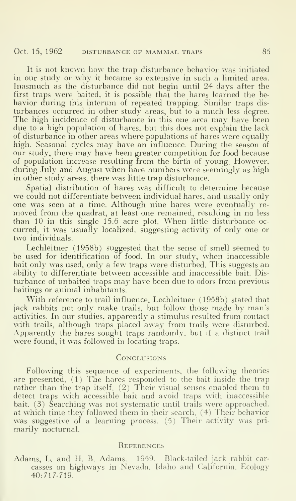It is not known how the trap disturbance behavior was initiated in our study or why it became so extensive in such a limited area. Inasmuch as the disturbance did not begin until 24 days after the first traps were baited, it is possible that the hares learned the be havior during this interum of repeated trapping. Similar traps dis turbances occurred in other study areas, but to <sup>a</sup> much less degree. The high incidence of disturbance in this one area may have been due to a high population of hares, but this does not explain the lack of disturbance in other areas where populations of hares were equally high. Seasonal cycles may have an influence. During the season of our study, there may have been greater competition for food because of population increase resulting from the birth of young. However, during July and August when hare numbers were seemingly as high in other study areas, there was little trap disturbance.

Spatial distribution of hares was difficult to determine because we could not differentiate between individual hares, and usually only one was seen at a time. Although nine hares were eventually removed from the quadrat, at least one remained, resulting in no less than <sup>10</sup> in this single 15.6 acre plot. When little disturbance oc curred, it was usually localized, suggesting activity of only one or two individuals.

Lechleitner (1958b) suggested that the sense of smell seemed to be used for identification of food. In our study, when inaccessible bait only was used, only a few traps were disturbed. This suggests an ability to differentiate between accessible and inaccessible bait. Disturbance of unbaited traps may have been due to odors from previous baitings or animal inhabitants.

With reference to trail influence. Lechleitner (1958b) stated that jack rabbits not only make trails, but follow those made by man's activities. In our studies, apparently a stimulus resulted from contact with trails, although traps placed away from trails were disturbed. • Apparently the hares sought traps randomly, but if a distinct trail were found, it was followed in locating traps.

#### **CONCLUSIONS**

Following this sequence of experiments, the following theories are presented.  $(1)$  The hares responded to the bait inside the trap rather than the trap itself. (2) Their visual senses enabled them to detect traps with accessible bait and avoid traps with inaccessible bait. (3) Searching was not systematic until trails were approached. at which time they followed them in their search. (4) Their behavior was suggestive of a learning process. (5) Their activity was primarily nocturnal.

#### **REFERENCES**

Adams, L. and II. B. Adams. 1959. Black-tailed jack rabbit car casses on highways in Nevada. Idaho and California. Ecology 40:717-719.